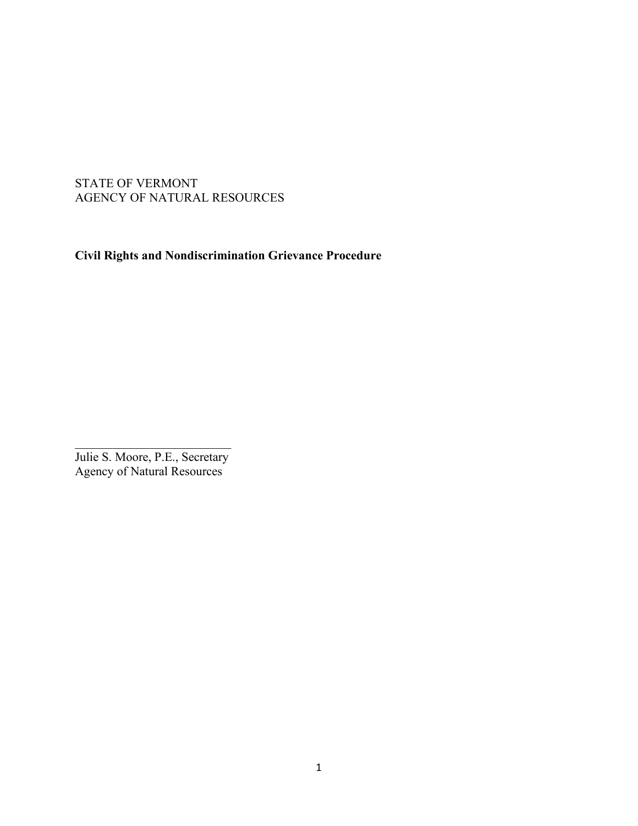## STATE OF VERMONT AGENCY OF NATURAL RESOURCES

**Civil Rights and Nondiscrimination Grievance Procedure**

\_\_\_\_\_\_\_\_\_\_\_\_\_\_\_\_\_\_\_\_\_\_\_\_\_ Julie S. Moore, P.E., Secretary Agency of Natural Resources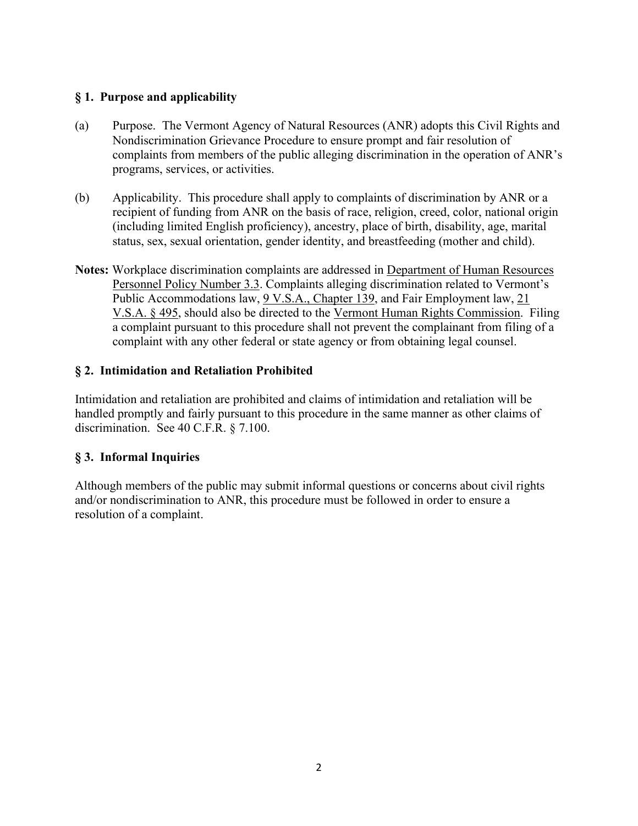# **§ 1. Purpose and applicability**

- (a) Purpose. The Vermont Agency of Natural Resources (ANR) adopts this Civil Rights and Nondiscrimination Grievance Procedure to ensure prompt and fair resolution of complaints from members of the public alleging discrimination in the operation of ANR's programs, services, or activities.
- (b) Applicability. This procedure shall apply to complaints of discrimination by ANR or a recipient of funding from ANR on the basis of race, religion, creed, color, national origin (including limited English proficiency), ancestry, place of birth, disability, age, marital status, sex, sexual orientation, gender identity, and breastfeeding (mother and child).
- **Notes:** Workplace discrimination complaints are addressed in [Department of Human Resources](https://humanresources.vermont.gov/sites/humanresources/files/documents/Labor_Relations_Policy_EEO/Policy_Procedure_Manual/Number_3.3_DISCRIMINATION.pdf)  [Personnel Policy Number 3.3.](https://humanresources.vermont.gov/sites/humanresources/files/documents/Labor_Relations_Policy_EEO/Policy_Procedure_Manual/Number_3.3_DISCRIMINATION.pdf) Complaints alleging discrimination related to Vermont's Public Accommodations law, [9 V.S.A., Chapter 139,](https://legislature.vermont.gov/statutes/chapter/09/139) and Fair Employment law, [21](https://legislature.vermont.gov/statutes/section/21/005/00495)  [V.S.A. §](https://legislature.vermont.gov/statutes/section/21/005/00495) 495, should also be directed to the [Vermont Human Rights Commission.](https://hrc.vermont.gov/legal/jurisdiction) Filing a complaint pursuant to this procedure shall not prevent the complainant from filing of a complaint with any other federal or state agency or from obtaining legal counsel.

# **§ 2. Intimidation and Retaliation Prohibited**

Intimidation and retaliation are prohibited and claims of intimidation and retaliation will be handled promptly and fairly pursuant to this procedure in the same manner as other claims of discrimination. See 40 C.F.R. § 7.100.

# **§ 3. Informal Inquiries**

Although members of the public may submit informal questions or concerns about civil rights and/or nondiscrimination to ANR, this procedure must be followed in order to ensure a resolution of a complaint.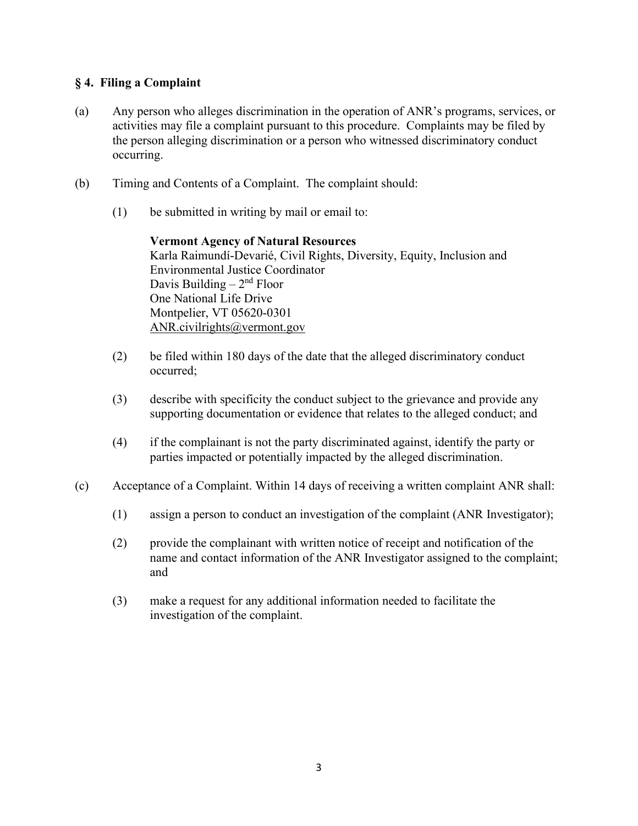#### **§ 4. Filing a Complaint**

- (a) Any person who alleges discrimination in the operation of ANR's programs, services, or activities may file a complaint pursuant to this procedure. Complaints may be filed by the person alleging discrimination or a person who witnessed discriminatory conduct occurring.
- (b) Timing and Contents of a Complaint. The complaint should:
	- (1) be submitted in writing by mail or email to:

**Vermont Agency of Natural Resources** Karla Raimundí-Devarié, Civil Rights, Diversity, Equity, Inclusion and Environmental Justice Coordinator Davis Building  $-2<sup>nd</sup>$  Floor One National Life Drive Montpelier, VT 05620-0301 [ANR.civilrights@vermont.gov](mailto:joanna.pallito@vermont.gov?subject=Question%20or%20complaint%20regarding%20Nondiscrimination)

- (2) be filed within 180 days of the date that the alleged discriminatory conduct occurred;
- (3) describe with specificity the conduct subject to the grievance and provide any supporting documentation or evidence that relates to the alleged conduct; and
- (4) if the complainant is not the party discriminated against, identify the party or parties impacted or potentially impacted by the alleged discrimination.
- (c) Acceptance of a Complaint. Within 14 days of receiving a written complaint ANR shall:
	- (1) assign a person to conduct an investigation of the complaint (ANR Investigator);
	- (2) provide the complainant with written notice of receipt and notification of the name and contact information of the ANR Investigator assigned to the complaint; and
	- (3) make a request for any additional information needed to facilitate the investigation of the complaint.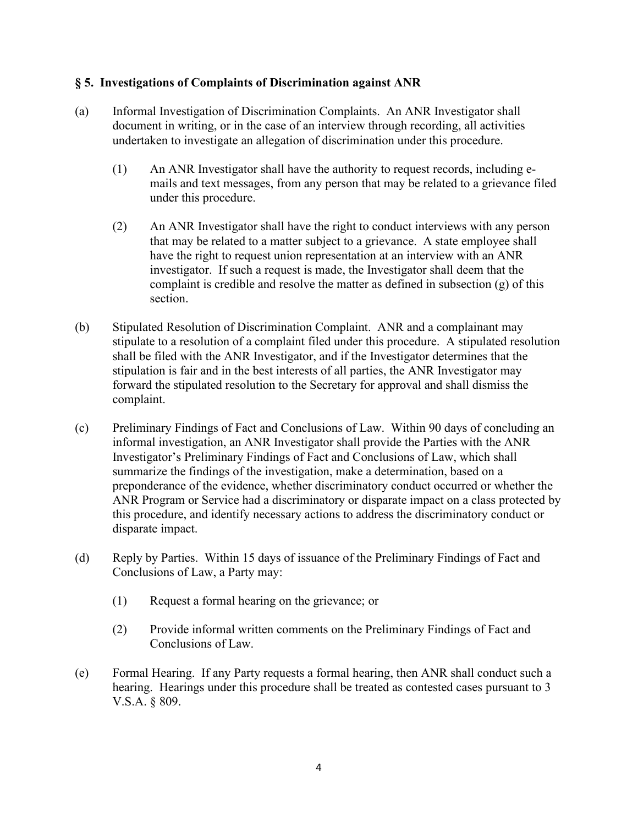#### **§ 5. Investigations of Complaints of Discrimination against ANR**

- (a) Informal Investigation of Discrimination Complaints. An ANR Investigator shall document in writing, or in the case of an interview through recording, all activities undertaken to investigate an allegation of discrimination under this procedure.
	- (1) An ANR Investigator shall have the authority to request records, including emails and text messages, from any person that may be related to a grievance filed under this procedure.
	- (2) An ANR Investigator shall have the right to conduct interviews with any person that may be related to a matter subject to a grievance. A state employee shall have the right to request union representation at an interview with an ANR investigator. If such a request is made, the Investigator shall deem that the complaint is credible and resolve the matter as defined in subsection (g) of this section.
- (b) Stipulated Resolution of Discrimination Complaint. ANR and a complainant may stipulate to a resolution of a complaint filed under this procedure. A stipulated resolution shall be filed with the ANR Investigator, and if the Investigator determines that the stipulation is fair and in the best interests of all parties, the ANR Investigator may forward the stipulated resolution to the Secretary for approval and shall dismiss the complaint.
- (c) Preliminary Findings of Fact and Conclusions of Law. Within 90 days of concluding an informal investigation, an ANR Investigator shall provide the Parties with the ANR Investigator's Preliminary Findings of Fact and Conclusions of Law, which shall summarize the findings of the investigation, make a determination, based on a preponderance of the evidence, whether discriminatory conduct occurred or whether the ANR Program or Service had a discriminatory or disparate impact on a class protected by this procedure, and identify necessary actions to address the discriminatory conduct or disparate impact.
- (d) Reply by Parties. Within 15 days of issuance of the Preliminary Findings of Fact and Conclusions of Law, a Party may:
	- (1) Request a formal hearing on the grievance; or
	- (2) Provide informal written comments on the Preliminary Findings of Fact and Conclusions of Law.
- (e) Formal Hearing. If any Party requests a formal hearing, then ANR shall conduct such a hearing. Hearings under this procedure shall be treated as contested cases pursuant to 3 V.S.A. § 809.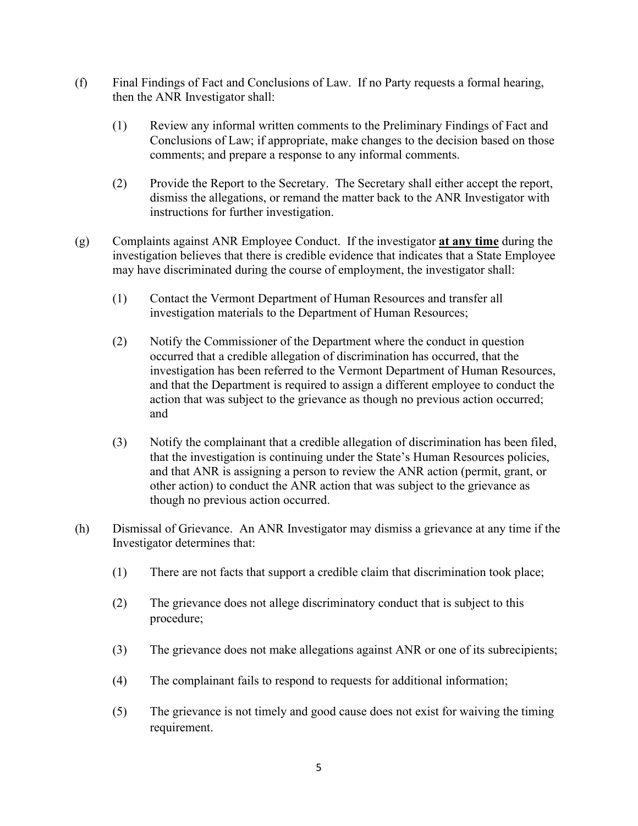- (f) Final Findings of Fact and Conclusions of Law. If no Party requests a formal hearing, then the ANR Investigator shall:
	- (1) Review any informal written comments to the Preliminary Findings of Fact and Conclusions of Law; if appropriate, make changes to the decision based on those comments; and prepare a response to any informal comments.
	- (2) Provide the Report to the Secretary. The Secretary shall either accept the report, dismiss the allegations, or remand the matter back to the ANR Investigator with instructions for further investigation.
- (g) Complaints against ANR Employee Conduct. If the investigator **at any time** during the investigation believes that there is credible evidence that indicates that a State Employee may have discriminated during the course of employment, the investigator shall:
	- (1) Contact the Vermont Department of Human Resources and transfer all investigation materials to the Department of Human Resources;
	- (2) Notify the Commissioner of the Department where the conduct in question occurred that a credible allegation of discrimination has occurred, that the investigation has been referred to the Vermont Department of Human Resources, and that the Department is required to assign a different employee to conduct the action that was subject to the grievance as though no previous action occurred; and
	- (3) Notify the complainant that a credible allegation of discrimination has been filed, that the investigation is continuing under the State's Human Resources policies, and that ANR is assigning a person to review the ANR action (permit, grant, or other action) to conduct the ANR action that was subject to the grievance as though no previous action occurred.
- (h) Dismissal of Grievance. An ANR Investigator may dismiss a grievance at any time if the Investigator determines that:
	- (1) There are not facts that support a credible claim that discrimination took place;
	- (2) The grievance does not allege discriminatory conduct that is subject to this procedure;
	- (3) The grievance does not make allegations against ANR or one of its subrecipients;
	- (4) The complainant fails to respond to requests for additional information;
	- (5) The grievance is not timely and good cause does not exist for waiving the timing requirement.